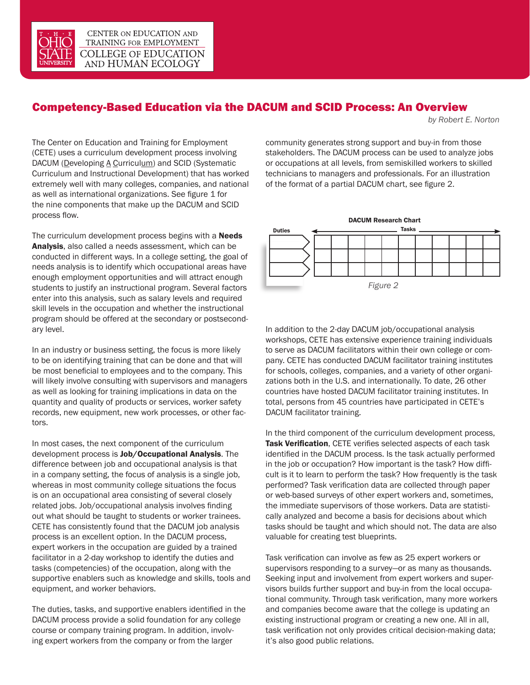

## Competency-Based Education via the DACUM and SCID Process: An Overview

*by Robert E. Norton*

The Center on Education and Training for Employment (CETE) uses a curriculum development process involving DACUM (Developing A Curriculum) and SCID (Systematic Curriculum and Instructional Development) that has worked extremely well with many colleges, companies, and national as well as international organizations. See figure 1 for the nine components that make up the DACUM and SCID process flow.

The curriculum development process begins with a **Needs** Analysis, also called a needs assessment, which can be conducted in different ways. In a college setting, the goal of needs analysis is to identify which occupational areas have enough employment opportunities and will attract enough students to justify an instructional program. Several factors enter into this analysis, such as salary levels and required skill levels in the occupation and whether the instructional program should be offered at the secondary or postsecondary level.

In an industry or business setting, the focus is more likely to be on identifying training that can be done and that will be most beneficial to employees and to the company. This will likely involve consulting with supervisors and managers as well as looking for training implications in data on the quantity and quality of products or services, worker safety records, new equipment, new work processes, or other factors.

In most cases, the next component of the curriculum development process is Job/Occupational Analysis. The difference between job and occupational analysis is that in a company setting, the focus of analysis is a single job, whereas in most community college situations the focus is on an occupational area consisting of several closely related jobs. Job/occupational analysis involves finding out what should be taught to students or worker trainees. CETE has consistently found that the DACUM job analysis process is an excellent option. In the DACUM process, expert workers in the occupation are guided by a trained facilitator in a 2-day workshop to identify the duties and tasks (competencies) of the occupation, along with the supportive enablers such as knowledge and skills, tools and equipment, and worker behaviors.

The duties, tasks, and supportive enablers identified in the DACUM process provide a solid foundation for any college course or company training program. In addition, involving expert workers from the company or from the larger

community generates strong support and buy-in from those stakeholders. The DACUM process can be used to analyze jobs or occupations at all levels, from semiskilled workers to skilled technicians to managers and professionals. For an illustration of the format of a partial DACUM chart, see figure 2.



In addition to the 2-day DACUM job/occupational analysis workshops, CETE has extensive experience training individuals to serve as DACUM facilitators within their own college or company. CETE has conducted DACUM facilitator training institutes for schools, colleges, companies, and a variety of other organizations both in the U.S. and internationally. To date, 26 other countries have hosted DACUM facilitator training institutes. In total, persons from 45 countries have participated in CETE's DACUM facilitator training.

In the third component of the curriculum development process, Task Verification, CETE verifies selected aspects of each task identified in the DACUM process. Is the task actually performed in the job or occupation? How important is the task? How difficult is it to learn to perform the task? How frequently is the task performed? Task verification data are collected through paper or web-based surveys of other expert workers and, sometimes, the immediate supervisors of those workers. Data are statistically analyzed and become a basis for decisions about which tasks should be taught and which should not. The data are also valuable for creating test blueprints.

Task verification can involve as few as 25 expert workers or supervisors responding to a survey—or as many as thousands. Seeking input and involvement from expert workers and supervisors builds further support and buy-in from the local occupational community. Through task verification, many more workers and companies become aware that the college is updating an existing instructional program or creating a new one. All in all, task verification not only provides critical decision-making data; it's also good public relations.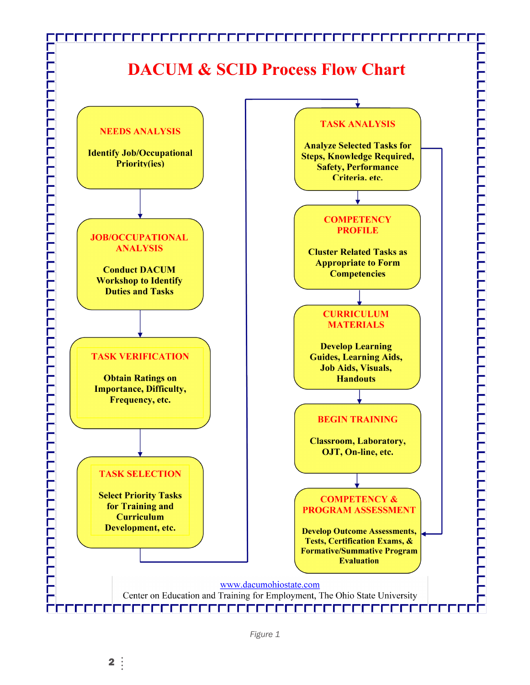

*Figure 1*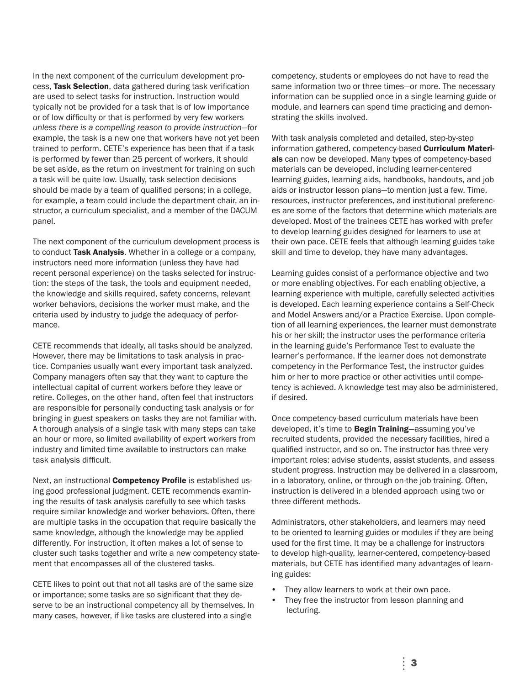In the next component of the curriculum development process, Task Selection, data gathered during task verification are used to select tasks for instruction. Instruction would typically not be provided for a task that is of low importance or of low difficulty or that is performed by very few workers *unless there is a compelling reason to provide instruction*—for example, the task is a new one that workers have not yet been trained to perform. CETE's experience has been that if a task is performed by fewer than 25 percent of workers, it should be set aside, as the return on investment for training on such a task will be quite low. Usually, task selection decisions should be made by a team of qualified persons; in a college, for example, a team could include the department chair, an instructor, a curriculum specialist, and a member of the DACUM panel.

The next component of the curriculum development process is to conduct Task Analysis. Whether in a college or a company, instructors need more information (unless they have had recent personal experience) on the tasks selected for instruction: the steps of the task, the tools and equipment needed, the knowledge and skills required, safety concerns, relevant worker behaviors, decisions the worker must make, and the criteria used by industry to judge the adequacy of performance.

CETE recommends that ideally, all tasks should be analyzed. However, there may be limitations to task analysis in practice. Companies usually want every important task analyzed. Company managers often say that they want to capture the intellectual capital of current workers before they leave or retire. Colleges, on the other hand, often feel that instructors are responsible for personally conducting task analysis or for bringing in guest speakers on tasks they are not familiar with. A thorough analysis of a single task with many steps can take an hour or more, so limited availability of expert workers from industry and limited time available to instructors can make task analysis difficult.

Next, an instructional Competency Profile is established using good professional judgment. CETE recommends examining the results of task analysis carefully to see which tasks require similar knowledge and worker behaviors. Often, there are multiple tasks in the occupation that require basically the same knowledge, although the knowledge may be applied differently. For instruction, it often makes a lot of sense to cluster such tasks together and write a new competency statement that encompasses all of the clustered tasks.

CETE likes to point out that not all tasks are of the same size or importance; some tasks are so significant that they deserve to be an instructional competency all by themselves. In many cases, however, if like tasks are clustered into a single

competency, students or employees do not have to read the same information two or three times—or more. The necessary information can be supplied once in a single learning guide or module, and learners can spend time practicing and demonstrating the skills involved.

With task analysis completed and detailed, step-by-step information gathered, competency-based **Curriculum Materi**als can now be developed. Many types of competency-based materials can be developed, including learner-centered learning guides, learning aids, handbooks, handouts, and job aids or instructor lesson plans—to mention just a few. Time, resources, instructor preferences, and institutional preferences are some of the factors that determine which materials are developed. Most of the trainees CETE has worked with prefer to develop learning guides designed for learners to use at their own pace. CETE feels that although learning guides take skill and time to develop, they have many advantages.

Learning guides consist of a performance objective and two or more enabling objectives. For each enabling objective, a learning experience with multiple, carefully selected activities is developed. Each learning experience contains a Self-Check and Model Answers and/or a Practice Exercise. Upon completion of all learning experiences, the learner must demonstrate his or her skill; the instructor uses the performance criteria in the learning guide's Performance Test to evaluate the learner's performance. If the learner does not demonstrate competency in the Performance Test, the instructor guides him or her to more practice or other activities until competency is achieved. A knowledge test may also be administered, if desired.

Once competency-based curriculum materials have been developed, it's time to **Begin Training**—assuming you've recruited students, provided the necessary facilities, hired a qualified instructor, and so on. The instructor has three very important roles: advise students, assist students, and assess student progress. Instruction may be delivered in a classroom, in a laboratory, online, or through on-the job training. Often, instruction is delivered in a blended approach using two or three different methods.

Administrators, other stakeholders, and learners may need to be oriented to learning guides or modules if they are being used for the first time. It may be a challenge for instructors to develop high-quality, learner-centered, competency-based materials, but CETE has identified many advantages of learning guides:

- They allow learners to work at their own pace.
- They free the instructor from lesson planning and lecturing.